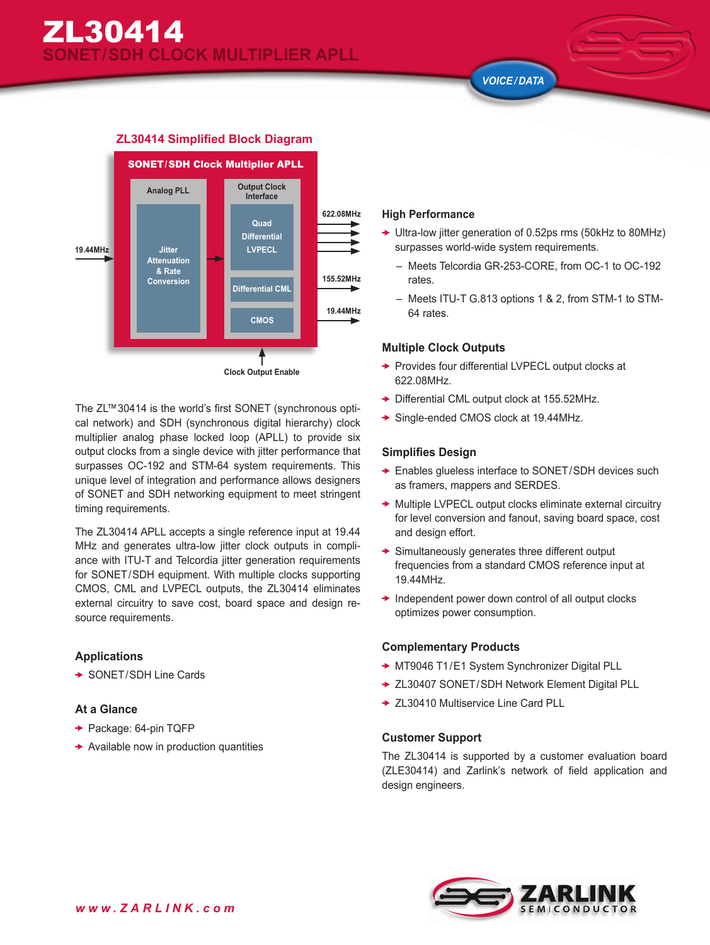*VOICE / DATA*



The ZL™30414 is the world's first SONET (synchronous optical network) and SDH (synchronous digital hierarchy) clock multiplier analog phase locked loop (APLL) to provide six output clocks from a single device with jitter performance that surpasses OC-192 and STM-64 system requirements. This unique level of integration and performance allows designers of SONET and SDH networking equipment to meet stringent timing requirements.

The ZL30414 APLL accepts a single reference input at 19.44 MHz and generates ultra-low jitter clock outputs in compliance with ITU-T and Telcordia jitter generation requirements for SONET/SDH equipment. With multiple clocks supporting CMOS, CML and LVPECL outputs, the ZL30414 eliminates external circuitry to save cost, board space and design resource requirements.

# **Applications**

**→ SONET/SDH Line Cards** 

#### **At a Glance**

- **→ Package: 64-pin TQFP**
- $\rightarrow$  Available now in production quantities

#### **High Performance**

- ◆ Ultra-low jitter generation of 0.52ps rms (50kHz to 80MHz) surpasses world-wide system requirements.
	- Meets Telcordia GR-253-CORE, from OC-1 to OC-192 rates.
	- Meets ITU-T G.813 options 1 & 2, from STM-1 to STM-64 rates.

## **Multiple Clock Outputs**

- ◆ Provides four differential LVPECL output clocks at 622.08MHz.
- ◆ Differential CML output clock at 155.52MHz.
- ◆ Single-ended CMOS clock at 19.44MHz.

### **Simplifies Design**

- Enables glueless interface to SONET/SDH devices such as framers, mappers and SERDES.
- ◆ Multiple LVPECL output clocks eliminate external circuitry for level conversion and fanout, saving board space, cost and design effort.
- $\rightarrow$  Simultaneously generates three different output frequencies from a standard CMOS reference input at 19.44MHz.
- $\rightarrow$  Independent power down control of all output clocks optimizes power consumption.

# **Complementary Products**

- ◆ MT9046 T1/E1 System Synchronizer Digital PLL
- ◆ ZL30407 SONET/SDH Network Element Digital PLL
- **→ ZL30410 Multiservice Line Card PLL**

#### **Customer Support**

The ZL30414 is supported by a customer evaluation board (ZLE30414) and Zarlink's network of field application and design engineers.